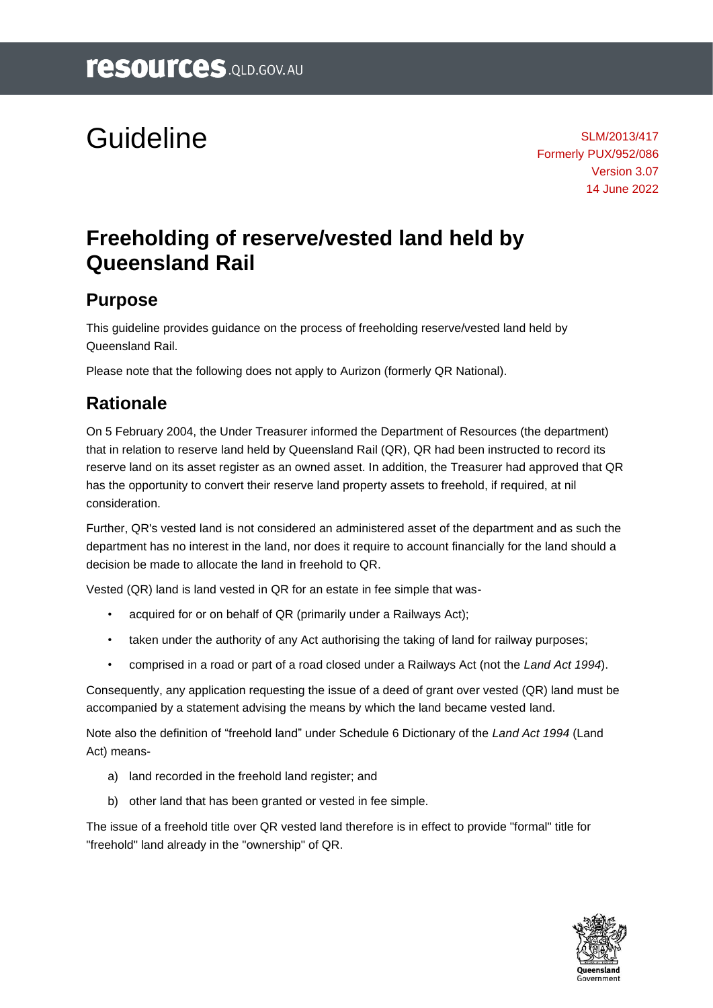# Guideline

SLM/2013/417 Formerly PUX/952/086 Version 3.07 14 June 2022

## **Freeholding of reserve/vested land held by Queensland Rail**

#### **Purpose**

This guideline provides guidance on the process of freeholding reserve/vested land held by Queensland Rail.

Please note that the following does not apply to Aurizon (formerly QR National).

#### **Rationale**

On 5 February 2004, the Under Treasurer informed the Department of Resources (the department) that in relation to reserve land held by Queensland Rail (QR), QR had been instructed to record its reserve land on its asset register as an owned asset. In addition, the Treasurer had approved that QR has the opportunity to convert their reserve land property assets to freehold, if required, at nil consideration.

Further, QR's vested land is not considered an administered asset of the department and as such the department has no interest in the land, nor does it require to account financially for the land should a decision be made to allocate the land in freehold to QR.

Vested (QR) land is land vested in QR for an estate in fee simple that was-

- acquired for or on behalf of QR (primarily under a Railways Act);
- taken under the authority of any Act authorising the taking of land for railway purposes;
- comprised in a road or part of a road closed under a Railways Act (not the *Land Act 1994*).

Consequently, any application requesting the issue of a deed of grant over vested (QR) land must be accompanied by a statement advising the means by which the land became vested land.

Note also the definition of "freehold land" under Schedule 6 Dictionary of the *Land Act 1994* (Land Act) means-

- a) land recorded in the freehold land register; and
- b) other land that has been granted or vested in fee simple.

The issue of a freehold title over QR vested land therefore is in effect to provide "formal" title for "freehold" land already in the "ownership" of QR.

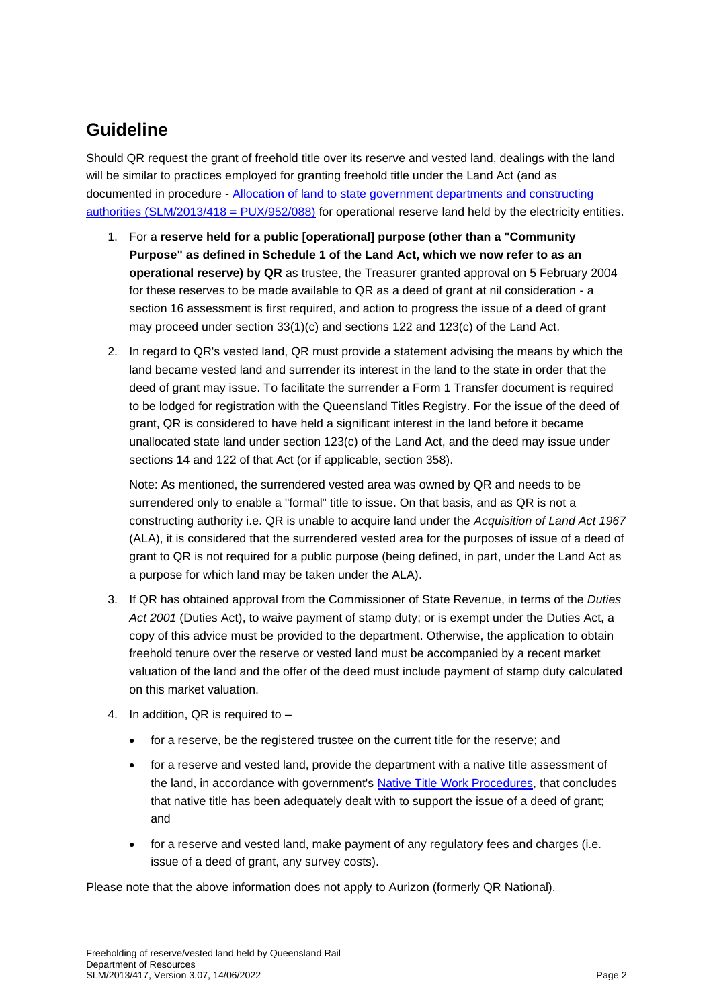#### **Guideline**

Should QR request the grant of freehold title over its reserve and vested land, dealings with the land will be similar to practices employed for granting freehold title under the Land Act (and as documented in procedure - [Allocation of land to state government departments and constructing](https://www.resources.qld.gov.au/?ver=7.08&a=109113%3Apolicy_registry%2Fallocation-land-govt-depts-construct-auth.pdf)  [authorities \(SLM/2013/418 = PUX/952/088\)](https://www.resources.qld.gov.au/?ver=7.08&a=109113%3Apolicy_registry%2Fallocation-land-govt-depts-construct-auth.pdf) for operational reserve land held by the electricity entities.

- 1. For a **reserve held for a public [operational] purpose (other than a "Community Purpose" as defined in Schedule 1 of the Land Act, which we now refer to as an operational reserve) by QR** as trustee, the Treasurer granted approval on 5 February 2004 for these reserves to be made available to QR as a deed of grant at nil consideration - a section 16 assessment is first required, and action to progress the issue of a deed of grant may proceed under section 33(1)(c) and sections 122 and 123(c) of the Land Act.
- 2. In regard to QR's vested land, QR must provide a statement advising the means by which the land became vested land and surrender its interest in the land to the state in order that the deed of grant may issue. To facilitate the surrender a Form 1 Transfer document is required to be lodged for registration with the Queensland Titles Registry. For the issue of the deed of grant, QR is considered to have held a significant interest in the land before it became unallocated state land under section 123(c) of the Land Act, and the deed may issue under sections 14 and 122 of that Act (or if applicable, section 358).

Note: As mentioned, the surrendered vested area was owned by QR and needs to be surrendered only to enable a "formal" title to issue. On that basis, and as QR is not a constructing authority i.e. QR is unable to acquire land under the *Acquisition of Land Act 1967* (ALA), it is considered that the surrendered vested area for the purposes of issue of a deed of grant to QR is not required for a public purpose (being defined, in part, under the Land Act as a purpose for which land may be taken under the ALA).

- 3. If QR has obtained approval from the Commissioner of State Revenue, in terms of the *Duties Act 2001* (Duties Act), to waive payment of stamp duty; or is exempt under the Duties Act, a copy of this advice must be provided to the department. Otherwise, the application to obtain freehold tenure over the reserve or vested land must be accompanied by a recent market valuation of the land and the offer of the deed must include payment of stamp duty calculated on this market valuation.
- 4. In addition, QR is required to
	- for a reserve, be the registered trustee on the current title for the reserve; and
	- for a reserve and vested land, provide the department with a native title assessment of the land, in accordance with government's [Native Title Work Procedures,](https://www.resources.qld.gov.au/qld/atsi/native-title-work-procedures/work-procedures) that concludes that native title has been adequately dealt with to support the issue of a deed of grant; and
	- for a reserve and vested land, make payment of any regulatory fees and charges (i.e. issue of a deed of grant, any survey costs).

Please note that the above information does not apply to Aurizon (formerly QR National).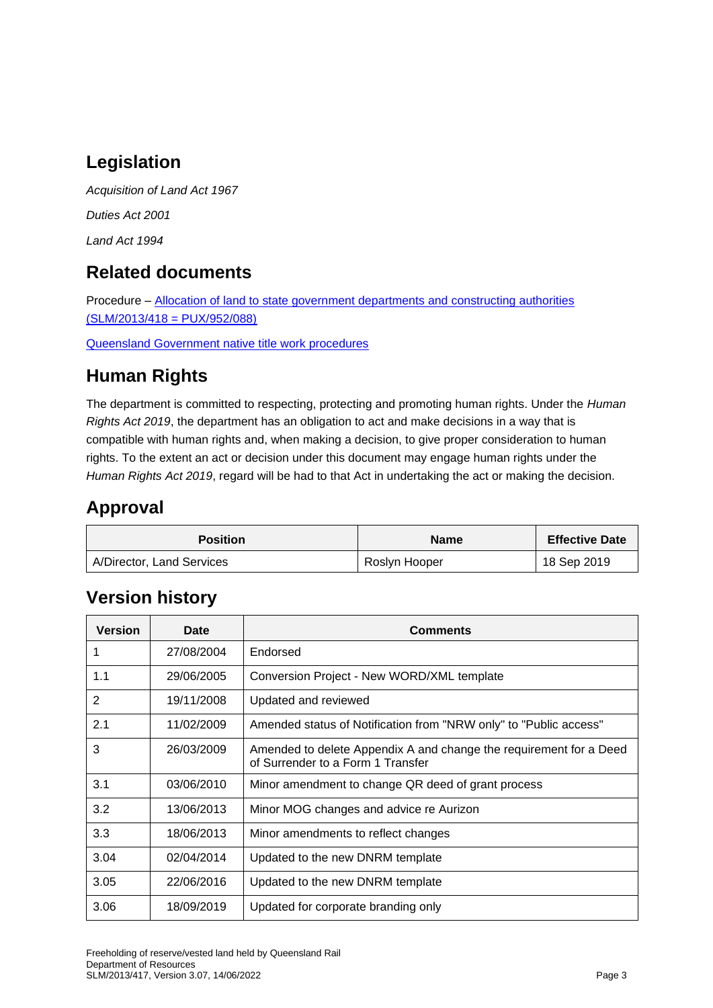### **Legislation**

*Acquisition of Land Act 1967 Duties Act 2001 Land Act 1994*

#### **Related documents**

Procedure – [Allocation of land to state government departments and constructing authorities](https://www.resources.qld.gov.au/?ver=7.08&a=109113%3Apolicy_registry%2Fallocation-land-govt-depts-construct-auth.pdf)  [\(SLM/2013/418 = PUX/952/088\)](https://www.resources.qld.gov.au/?ver=7.08&a=109113%3Apolicy_registry%2Fallocation-land-govt-depts-construct-auth.pdf)

[Queensland Government native title work procedures](https://www.resources.qld.gov.au/qld/atsi/native-title-work-procedures/work-procedures)

#### **Human Rights**

The department is committed to respecting, protecting and promoting human rights. Under the *Human Rights Act 2019*, the department has an obligation to act and make decisions in a way that is compatible with human rights and, when making a decision, to give proper consideration to human rights. To the extent an act or decision under this document may engage human rights under the *Human Rights Act 2019*, regard will be had to that Act in undertaking the act or making the decision.

#### **Approval**

| <b>Position</b>           | <b>Name</b>   | <b>Effective Date</b> |
|---------------------------|---------------|-----------------------|
| A/Director, Land Services | Roslyn Hooper | 18 Sep 2019           |

#### **Version history**

| <b>Version</b> | Date       | <b>Comments</b>                                                                                         |
|----------------|------------|---------------------------------------------------------------------------------------------------------|
| 1              | 27/08/2004 | Endorsed                                                                                                |
| 1.1            | 29/06/2005 | Conversion Project - New WORD/XML template                                                              |
| $\mathfrak{p}$ | 19/11/2008 | Updated and reviewed                                                                                    |
| 2.1            | 11/02/2009 | Amended status of Notification from "NRW only" to "Public access"                                       |
| 3              | 26/03/2009 | Amended to delete Appendix A and change the requirement for a Deed<br>of Surrender to a Form 1 Transfer |
| 3.1            | 03/06/2010 | Minor amendment to change QR deed of grant process                                                      |
| 3.2            | 13/06/2013 | Minor MOG changes and advice re Aurizon                                                                 |
| 3.3            | 18/06/2013 | Minor amendments to reflect changes                                                                     |
| 3.04           | 02/04/2014 | Updated to the new DNRM template                                                                        |
| 3.05           | 22/06/2016 | Updated to the new DNRM template                                                                        |
| 3.06           | 18/09/2019 | Updated for corporate branding only                                                                     |